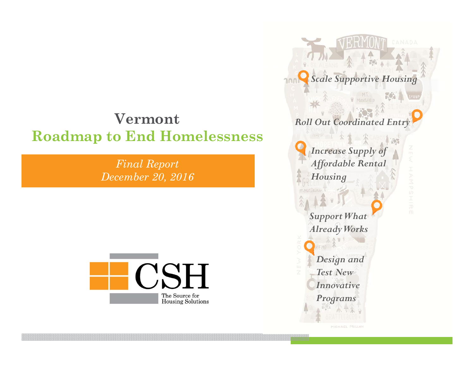#### **VermontRoadmap to End Homelessness**

*Final Report December 20, 2016*



*Scale Supportive Housing* MANSFIELD *Roll Out Coordinated Entry Increase Supply of Affordable Rental Housing Support What Already Works Design and Test New Innovative Programs*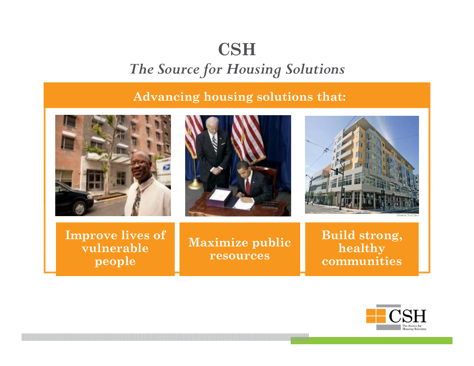#### **CSH** *The Source for Housing Solutions*

#### **Advancing housing solutions that:**



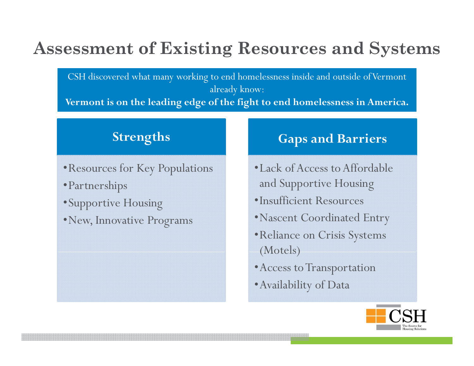# **Assessment of Existing Resources and Systems**

CSH discovered what many working to end homelessness inside and outside of Vermont already know: **Vermont is on the leading edge of the fight to end homelessness in America.**

- •Resources for Key Populations
- •Partnerships
- •Supportive Housing
- •New, Innovative Programs •Nascent Coordinated Entry

#### **Strengths Gaps and Barriers**

- •Lack of Access to Affordable and Supportive Housing
- •Insufficient Resources
- 
- •Reliance on Crisis Systems (Motels)
- •Access to Transportation
- •Availability of Data

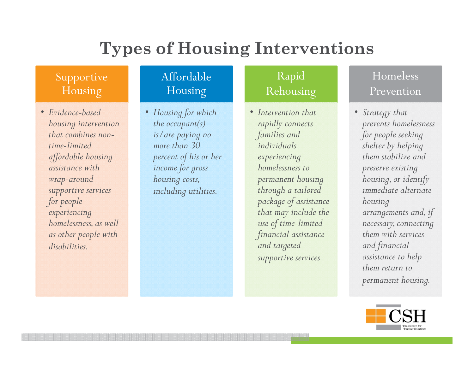# **Types of Housing Interventions**

#### Supportive Housing

• *Evidence-based Evidencehousing intervention that combines nontime-limited affordable housing assistance with wrap-aroun<sup>d</sup> supportive services for peo ple experiencing homelessness, as well as other people with disabilities.*

#### Affordable Housing

*the occupant(s) is/are paying no more than 30 income for gross housing costs, including utilities.*

#### Rapid Rehousing

• *Housing for which based* •• *Intervention that percent of his or herwelf <i>experiencing them stabilize and rapidly connects families and individuals experiencing p g homelessness to permanent housing through a tailored package of assistance housing that may include the use of time-limited financial assistance and targeted supportive services. assistance to help*

#### Homeless Prevention

 *Strategy that prevents homelessness for people seeking shelter by helping preserve existing housing, or identify immediate alternate housing arrangements and, if necessary, connecting them with services and financial them return to permanent housing.* 

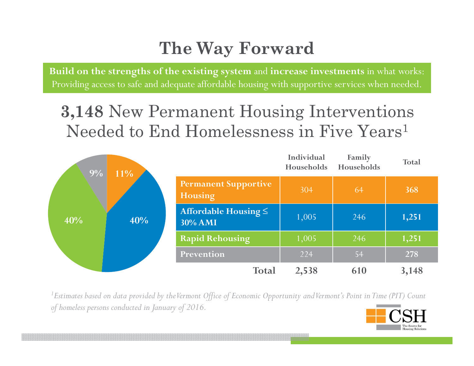# **The Way Forward**

**Build on the strengths of the existing system** and **increase investments** in what works: Providing access to safe and adequate affordable housing with supportive services when needed.

### **3 148** New Permanent Housing Interventions **3,148** Needed to End Homelessness in Five Years<sup>1</sup>



<sup>1</sup>Estimates based on data provided by the Vermont Office of Economic Opportunity and Vermont's Point in Time (PIT) Count *of homeless persons conducted in January of 2016.*

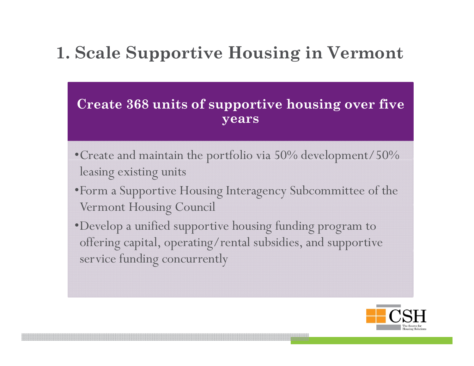# **1. Scale Supportive Housing in Vermont**

#### **Create 368 units of supportive housing over five years**

- $\bullet$  Create and maintain the portfolio via 50% development/50%  $\,$ leasing existing units
- •Form a Supportive Housing Interagency Subcommittee of the Vermont Housing Council
- •Develop a unified supportive housing funding program to offering capital, operating/rental subsidies, and supportive service funding concurrently

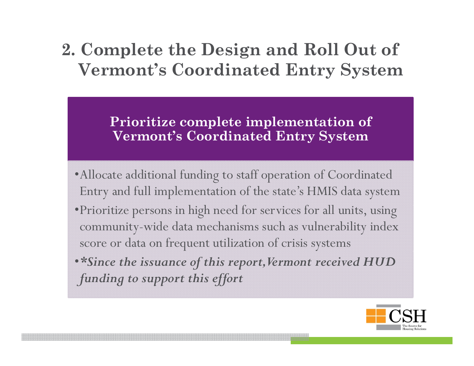### **2. Complete the Design and Roll Out of Vermont's Coordinated Entry System**

**Prioritize complete implementation of Vermont's Coordinated Entry System**

- •Allocate additional funding to staff operation of Coordinated Entry and full implementation of the state's HMIS data system
- $\bullet$ Prioritize persons in high need for services for all units, using community-wide data mechanisms such as vulnerability index score or data on frequent utilization of crisis systems
- •*\*Since the issuance of this report, Vermont received HUD funding to support this effort*

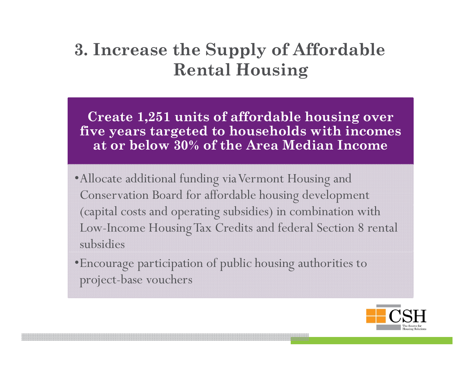### **3. Increase the Supply of Affordable**   $\bf{R}$ ental  $\bf{H}$ ousing

Create 1,251 units of affordable housing over **five years targeted to households with incomes at or below 30% of the Area Median Income** 

- •Allocate additional funding via Vermont Housing and Conservation Board for affordable housing development (capital costs and operating subsidies) in combination with Low-Income Housing Tax Credits and federal Section 8 rental subsidies
- •Encourage participation of public housing authorities to project-base vouchers

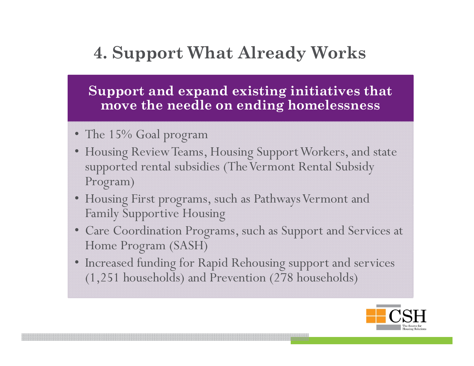## **4. Support What Already Works**

**Support and expand existing initiatives that move the needle on ending homelessness**

- The 15% Goal program
- Housing Review Teams, Housing Support Workers, and state supported rental subsidies (The Vermont Rental Subsidy Program)
- Housing First programs, such as Pathways Vermont and Family Supportive Housing
- Care Coordination Programs, such as Support and Services at Home Program (SASH)
- Increased funding for Rapid Rehousing support and services (1,251 households) and Prevention (278 households)

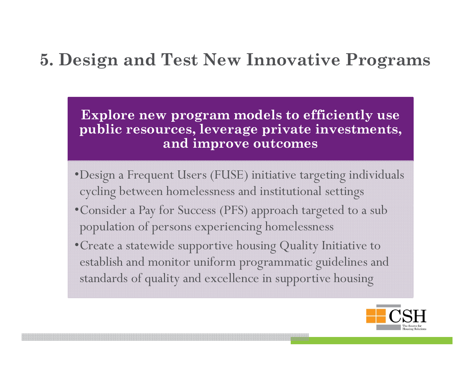### **5. Design and Test New Innovative Programs**

**Explore new program models to efficiently use public resources, leverage private investments, and improve outcomes**

- •Design a Frequent Users (FUSE) initiative targeting individuals cycling between homelessness and institutional settings
- $\bullet$  Consider a Pay for Success (PFS) approach targeted to a subpopulation of persons experiencing homelessness
- Create a statewide supportive housing Quality Initiative to establish and monitor uniform programmatic guidelines and standards of quality and excellence in supportive housing

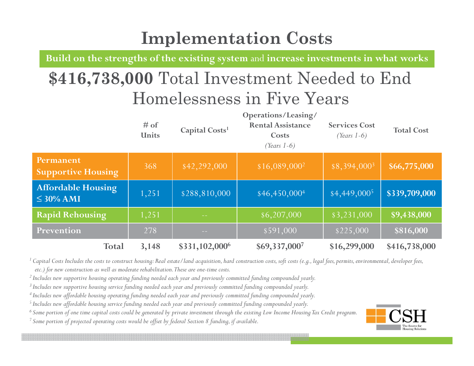# **Implementation Costs**

**Build on the strengths of the existing system** and **increase investments in what works**

# **\$416,738,000** Total Investment Needed to End Homelessness in Five Years

|                                             | $#$ of<br><b>Units</b> | Capital Costs <sup>1</sup> | Operations/Leasing/<br><b>Rental Assistance</b><br>Costs<br>(Years $1-6$ ) | <b>Services Cost</b><br>(Years $1-6$ ) | <b>Total Cost</b> |
|---------------------------------------------|------------------------|----------------------------|----------------------------------------------------------------------------|----------------------------------------|-------------------|
| Permanent<br><b>Supportive Housing</b>      | 368                    | \$42,292,000               | $$16,089,000^2$                                                            | $$8,394,000^3$                         | \$66,775,000      |
| <b>Affordable Housing</b><br>$\leq$ 30% AMI | 1,251                  | \$288,810,000              | $$46,450,000^4$                                                            | $$4,449,000^5$                         | \$339,709,000     |
| <b>Rapid Rehousing</b>                      | 1,251                  |                            | $\sqrt{5,207,000}$                                                         | $\sqrt{83,231,000}$                    | \$9,438,000       |
| Prevention                                  | 278                    | <b>College</b>             | \$591,000                                                                  | \$225,000                              | \$816,000         |
| <b>Total</b>                                | 3,148                  | \$331,102,000 <sup>6</sup> | \$69,337,0007                                                              | \$16,299,000                           | \$416,738,000     |

<sup>1</sup> Capital Costs Includes the costs to construct housing: Real estate/land acquisition, hard construction costs, soft costs (e.g., legal *fees, permits, environmental, developer fees, etc.) for new construction as well as moderate rehabilitation. These are one-time costs.* 

*2 Includes new supportive housing operating funding needed each year and previously committed funding compounded yearly.* 

*3 Includes new supportive housing service funding needed each year and previously committed funding compounded yearly.*

 $^4$  Includes new affordable housing operating funding needed each year and previously committed funding compounded yearly.

*5 Includes new affordable housing service funding needed each year and previously committed funding compounded yearly.*

*6 Some portion of one time capital costs could be generated by private investment through the existing Low Income Housing Tax Credit program.*

*7 Some portion of projected operating costs would be offset by federal Section 8 funding, if available.*

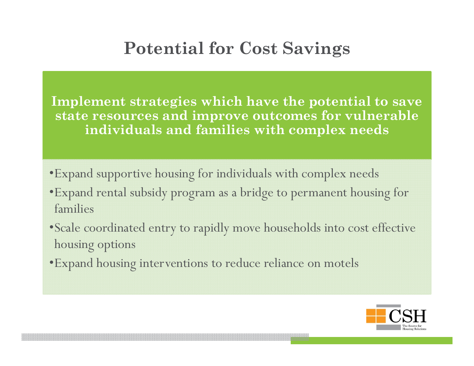# **Potential for Cost Savings**

**Implement strategies which have the potential to save**  state resources and improve outcomes for vulnerable **individuals and families with complex needs**

- •Expand supportive housing for individuals with complex needs
- •Expand rental subsidy program as a bridge to permanent housing for families
- •Scale coordinated entry to rapidly move households into cost effective housing options
- •Expand housing interventions to reduce reliance on motels

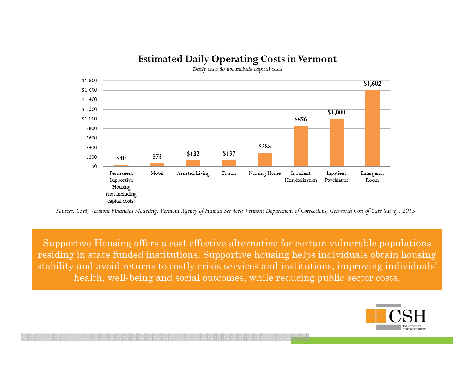#### **Estimated Daily Operating Costs in Vermont**



*Sources: CSH, Vermont Financial Modelin g; Vermont Agency of Human Services; Vermont Department of Corrections, Genworth Cost of Care Survey, 2015.*

Supportive Housing offers a cost effective alternative for certain vulnerable populations residing in state funded institutions. Supportive housing helps individuals obtain housing stability and avoid returns to costly crisis services and institutions, improving individuals' health, well-being and social outcomes, while reducing public sector costs.